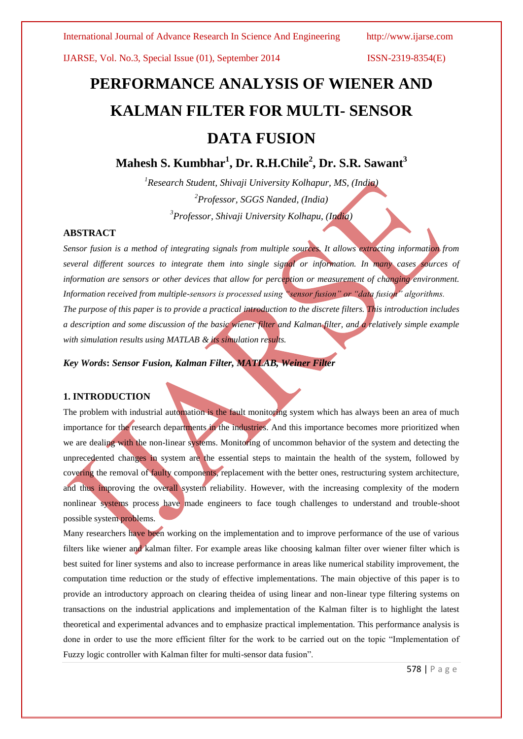# **PERFORMANCE ANALYSIS OF WIENER AND KALMAN FILTER FOR MULTI- SENSOR DATA FUSION**

## **Mahesh S. Kumbhar<sup>1</sup> , Dr. R.H.Chile<sup>2</sup> , Dr. S.R. Sawant<sup>3</sup>**

*<sup>1</sup>Research Student, Shivaji University Kolhapur, MS, (India) <sup>2</sup>Professor, SGGS Nanded, (India) 3 Professor, Shivaji University Kolhapu, (India)*

#### **ABSTRACT**

*Sensor fusion is a method of integrating signals from multiple sources. It allows extracting information from several different sources to integrate them into single signal or information. In many cases sources of information are sensors or other devices that allow for perception or measurement of changing environment. Information received from multiple-sensors is processed using "sensor fusion" or "data fusion" algorithms. The purpose of this paper is to provide a practical introduction to the discrete filters. This introduction includes a description and some discussion of the basic wiener filter and Kalman filter, and a relatively simple example with simulation results using MATLAB & its simulation results.*

*Key Words***:** *Sensor Fusion, Kalman Filter, MATLAB, Weiner Filter*

#### **1. INTRODUCTION**

The problem with industrial automation is the fault monitoring system which has always been an area of much importance for the research departments in the industries. And this importance becomes more prioritized when we are dealing with the non-linear systems. Monitoring of uncommon behavior of the system and detecting the unprecedented changes in system are the essential steps to maintain the health of the system, followed by covering the removal of faulty components, replacement with the better ones, restructuring system architecture, and thus improving the overall system reliability. However, with the increasing complexity of the modern nonlinear systems process have made engineers to face tough challenges to understand and trouble-shoot possible system problems.

Many researchers have been working on the implementation and to improve performance of the use of various filters like wiener and kalman filter. For example areas like choosing kalman filter over wiener filter which is best suited for liner systems and also to increase performance in areas like numerical stability improvement, the computation time reduction or the study of effective implementations. The main objective of this paper is to provide an introductory approach on clearing theidea of using linear and non-linear type filtering systems on transactions on the industrial applications and implementation of the Kalman filter is to highlight the latest theoretical and experimental advances and to emphasize practical implementation. This performance analysis is done in order to use the more efficient filter for the work to be carried out on the topic "Implementation of Fuzzy logic controller with Kalman filter for multi-sensor data fusion".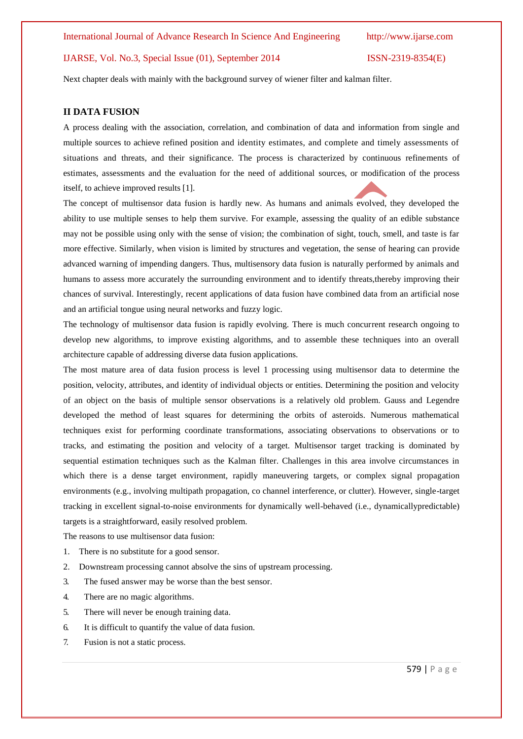Next chapter deals with mainly with the background survey of wiener filter and kalman filter.

#### **II DATA FUSION**

A process dealing with the association, correlation, and combination of data and information from single and multiple sources to achieve refined position and identity estimates, and complete and timely assessments of situations and threats, and their significance. The process is characterized by continuous refinements of estimates, assessments and the evaluation for the need of additional sources, or modification of the process itself, to achieve improved results [1].

The concept of multisensor data fusion is hardly new. As humans and animals evolved, they developed the ability to use multiple senses to help them survive. For example, assessing the quality of an edible substance may not be possible using only with the sense of vision; the combination of sight, touch, smell, and taste is far more effective. Similarly, when vision is limited by structures and vegetation, the sense of hearing can provide advanced warning of impending dangers. Thus, multisensory data fusion is naturally performed by animals and humans to assess more accurately the surrounding environment and to identify threats,thereby improving their chances of survival. Interestingly, recent applications of data fusion have combined data from an artificial nose and an artificial tongue using neural networks and fuzzy logic.

The technology of multisensor data fusion is rapidly evolving. There is much concurrent research ongoing to develop new algorithms, to improve existing algorithms, and to assemble these techniques into an overall architecture capable of addressing diverse data fusion applications.

The most mature area of data fusion process is level 1 processing using multisensor data to determine the position, velocity, attributes, and identity of individual objects or entities. Determining the position and velocity of an object on the basis of multiple sensor observations is a relatively old problem. Gauss and Legendre developed the method of least squares for determining the orbits of asteroids. Numerous mathematical techniques exist for performing coordinate transformations, associating observations to observations or to tracks, and estimating the position and velocity of a target. Multisensor target tracking is dominated by sequential estimation techniques such as the Kalman filter. Challenges in this area involve circumstances in which there is a dense target environment, rapidly maneuvering targets, or complex signal propagation environments (e.g., involving multipath propagation, co channel interference, or clutter). However, single-target tracking in excellent signal-to-noise environments for dynamically well-behaved (i.e., dynamicallypredictable) targets is a straightforward, easily resolved problem.

The reasons to use multisensor data fusion:

- 1. There is no substitute for a good sensor.
- 2. Downstream processing cannot absolve the sins of upstream processing.
- 3. The fused answer may be worse than the best sensor.
- 4. There are no magic algorithms.
- 5. There will never be enough training data.
- 6. It is difficult to quantify the value of data fusion.
- 7. Fusion is not a static process.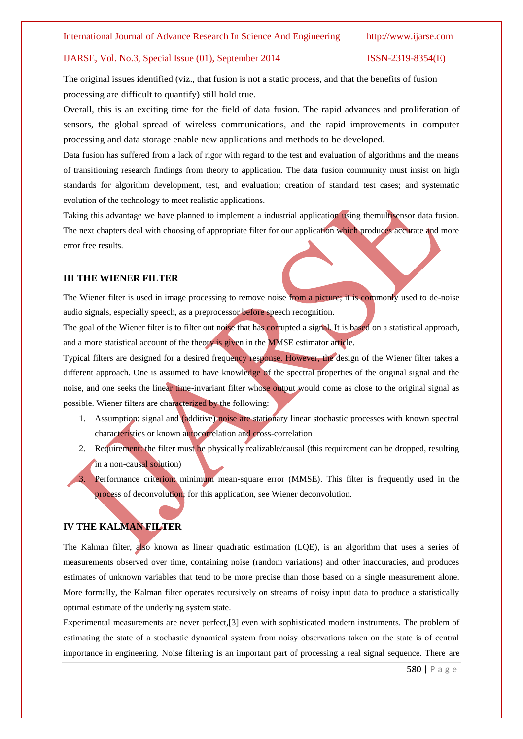The original issues identified (viz., that fusion is not a static process, and that the benefits of fusion processing are difficult to quantify) still hold true.

Overall, this is an exciting time for the field of data fusion. The rapid advances and proliferation of sensors, the global spread of wireless communications, and the rapid improvements in computer processing and data storage enable new applications and methods to be developed.

Data fusion has suffered from a lack of rigor with regard to the test and evaluation of algorithms and the means of transitioning research findings from theory to application. The data fusion community must insist on high standards for algorithm development, test, and evaluation; creation of standard test cases; and systematic evolution of the technology to meet realistic applications.

Taking this advantage we have planned to implement a industrial application using themultisensor data fusion. The next chapters deal with choosing of appropriate filter for our application which produces accurate and more error free results.

#### **III THE WIENER FILTER**

The Wiener filter is used in image processing to remove noise from a picture; it is commonly used to de-noise audio signals, especially speech, as a preprocessor before speech recognition.

The goal of the Wiener filter is to filter out noise that has corrupted a signal. It is based on a statistical approach, and a more statistical account of the theory is given in the MMSE estimator article.

Typical filters are designed for a desired frequency response. However, the design of the Wiener filter takes a different approach. One is assumed to have knowledge of the spectral properties of the original signal and the noise, and one seeks the linear time-invariant filter whose output would come as close to the original signal as possible. Wiener filters are characterized by the following:

- 1. Assumption: signal and (additive) noise are stationary linear stochastic processes with known spectral characteristics or known autocorrelation and cross-correlation
- 2. Requirement: the filter must be physically realizable/causal (this requirement can be dropped, resulting in a non-causal solution)
- Performance criterion: minimum mean-square error (MMSE). This filter is frequently used in the process of deconvolution; for this application, see Wiener deconvolution.

#### **IV THE KALMAN FILTER**

The Kalman filter, also known as linear quadratic estimation (LQE), is an algorithm that uses a series of measurements observed over time, containing noise (random variations) and other inaccuracies, and produces estimates of unknown variables that tend to be more precise than those based on a single measurement alone. More formally, the Kalman filter operates recursively on streams of noisy input data to produce a statistically optimal estimate of the underlying system state.

Experimental measurements are never perfect,[3] even with sophisticated modern instruments. The problem of estimating the state of a stochastic dynamical system from noisy observations taken on the state is of central importance in engineering. Noise filtering is an important part of processing a real signal sequence. There are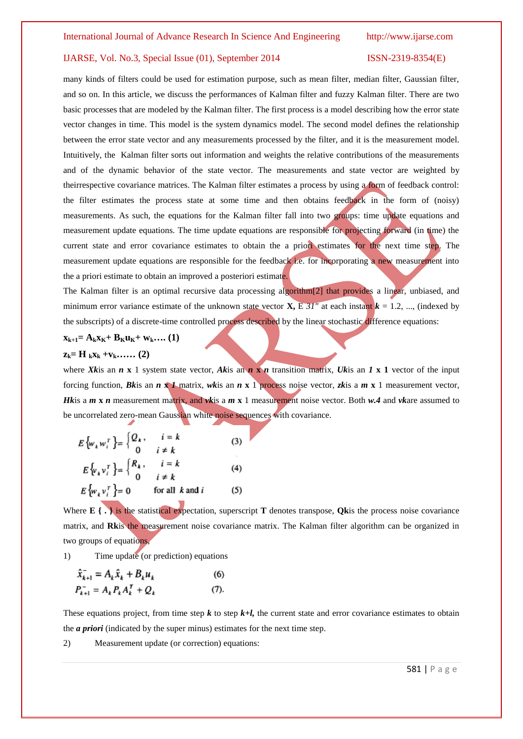many kinds of filters could be used for estimation purpose, such as mean filter, median filter, Gaussian filter, and so on. In this article, we discuss the performances of Kalman filter and fuzzy Kalman filter. There are two basic processes that are modeled by the Kalman filter. The first process is a model describing how the error state vector changes in time. This model is the system dynamics model. The second model defines the relationship between the error state vector and any measurements processed by the filter, and it is the measurement model. Intuitively, the Kalman filter sorts out information and weights the relative contributions of the measurements and of the dynamic behavior of the state vector. The measurements and state vector are weighted by theirrespective covariance matrices. The Kalman filter estimates a process by using a form of feedback control: the filter estimates the process state at some time and then obtains feedback in the form of (noisy) measurements. As such, the equations for the Kalman filter fall into two groups: time update equations and measurement update equations. The time update equations are responsible for projecting forward (in time) the current state and error covariance estimates to obtain the a priori estimates for the next time step. The measurement update equations are responsible for the feedback i.e. for incorporating a new measurement into the a priori estimate to obtain an improved a posteriori estimate.

The Kalman filter is an optimal recursive data processing algorithm<sup>[2]</sup> that provides a linear, unbiased, and minimum error variance estimate of the unknown state vector **X**,  $\overline{E}$  *31"* at each instant  $k = 1.2$ , ..., (indexed by the subscripts) of a discrete-time controlled process described by the linear stochastic difference equations:

#### $\mathbf{x}_{k+1} = \mathbf{A}_k \mathbf{x}_K + \mathbf{B}_K \mathbf{u}_K + \mathbf{w}_k$ .... (1)

#### $z_k = H_k x_k + v_k$ **……** (2)

where *Xk*is an *n* **x** 1 system state vector, *Akis* an  $\bf{u}$  **x**  $\bf{v}$  transition matrix, *Ukis* an *I* **x** 1 vector of the input forcing function, *Bk*is an *n* **x** *1* matrix, *wk*is an *n* **x** 1 process noise vector, *zk*is a *m* **x** 1 measurement vector, *Hk*is a *m* **x** *n* measurement matrix, and *vk*is a *m* **x** 1 measurement noise vector. Both *w.4* and *vk*are assumed to be uncorrelated zero-mean Gaussian white noise sequences with covariance.

$$
E\{\boldsymbol{\psi}_k \boldsymbol{\psi}_i^T\} = \begin{cases} Q_k, & i = k \\ 0 & i \neq k \end{cases} \tag{3}
$$
\n
$$
E\{\boldsymbol{\psi}_k \boldsymbol{\nu}_i^T\} = \begin{cases} R_k, & i = k \\ 0 & i \neq k \end{cases} \tag{4}
$$
\n
$$
E\{\boldsymbol{\psi}_k \boldsymbol{\nu}_i^T\} = 0 \quad \text{for all } k \text{ and } i \tag{5}
$$

Where **E** { . } is the statistical expectation, superscript **T** denotes transpose, **Qk**is the process noise covariance matrix, and **Rk**is the measurement noise covariance matrix. The Kalman filter algorithm can be organized in two groups of equations,

### 1) Time update (or prediction) equations

$$
\hat{x}_{k+1} = A_k \hat{x}_k + B_k u_k
$$
\n(6)  
\n
$$
P_{k+1} = A_k P_k A_k^T + Q_k
$$
\n(7)

These equations project, from time step  $k$  to step  $k+l$ , the current state and error covariance estimates to obtain the *a priori* (indicated by the super minus) estimates for the next time step.

2) Measurement update (or correction) equations: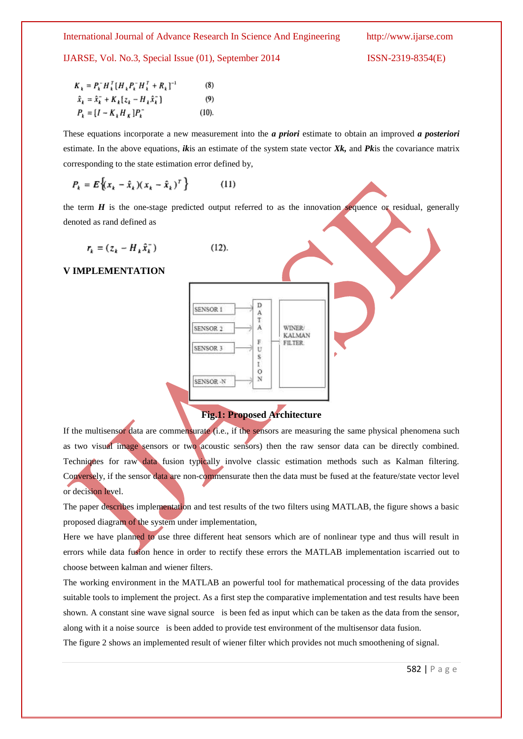International Journal of Advance Research In Science And Engineering

IJARSE, Vol. No.3, Special Issue (01), September 2014 ISSN-2319-8354(E)

$$
K_{k} = P_{k}^{-} H_{k}^{T} [H_{k} P_{k}^{-} H_{k}^{T} + R_{k}]^{-1}
$$
(8)  

$$
\hat{x}_{k} = \hat{x}_{k}^{-} + K_{k} [z_{k} - H_{k} \hat{x}_{k}^{-}]
$$
(9)  

$$
P_{k} = [I - K_{k} H_{K}] P_{k}^{-}
$$
(10).

These equations incorporate a new measurement into the *a priori* estimate to obtain an improved *a posteriori*  estimate. In the above equations, *ik*is an estimate of the system state vector *Xk,* and *Pk*is the covariance matrix corresponding to the state estimation error defined by,

$$
P_k = E\left\{ (x_k - \hat{x}_k)(x_k - \hat{x}_k)^T \right\}
$$
 (11)

the term  $H$  is the one-stage predicted output referred to as the innovation sequence or residual, generally denoted as rand defined as

 $r_k = (z_k - H_k \hat{x}_k^{-})$  $(12).$ 

**V IMPLEMENTATION**



#### **Fig.1: Proposed Architecture**

If the multisensor data are commensurate (i.e., if the sensors are measuring the same physical phenomena such as two visual image sensors or two acoustic sensors) then the raw sensor data can be directly combined. Techniques for raw data fusion typically involve classic estimation methods such as Kalman filtering. Conversely, if the sensor data are non-commensurate then the data must be fused at the feature/state vector level or decision level.

The paper describes implementation and test results of the two filters using MATLAB, the figure shows a basic proposed diagram of the system under implementation,

Here we have planned to use three different heat sensors which are of nonlinear type and thus will result in errors while data fusion hence in order to rectify these errors the MATLAB implementation iscarried out to choose between kalman and wiener filters.

The working environment in the MATLAB an powerful tool for mathematical processing of the data provides suitable tools to implement the project. As a first step the comparative implementation and test results have been shown. A constant sine wave signal source is been fed as input which can be taken as the data from the sensor, along with it a noise source is been added to provide test environment of the multisensor data fusion.

The figure 2 shows an implemented result of wiener filter which provides not much smoothening of signal.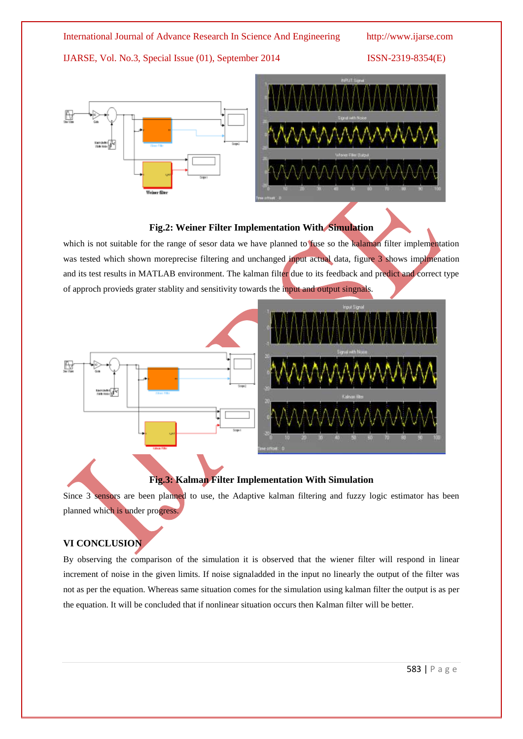



### **Fig.2: Weiner Filter Implementation With Simulation**

which is not suitable for the range of sesor data we have planned to fuse so the kalaman filter implementation was tested which shown moreprecise filtering and unchanged input actual data, figure 3 shows implimenation and its test results in MATLAB environment. The kalman filter due to its feedback and predict and correct type of approch provieds grater stablity and sensitivity towards the input and output singnals.



#### **Fig.3: Kalman Filter Implementation With Simulation**

Since 3 sensors are been planned to use, the Adaptive kalman filtering and fuzzy logic estimator has been planned which is under progress.

### **VI CONCLUSION**

By observing the comparison of the simulation it is observed that the wiener filter will respond in linear increment of noise in the given limits. If noise signaladded in the input no linearly the output of the filter was not as per the equation. Whereas same situation comes for the simulation using kalman filter the output is as per the equation. It will be concluded that if nonlinear situation occurs then Kalman filter will be better.